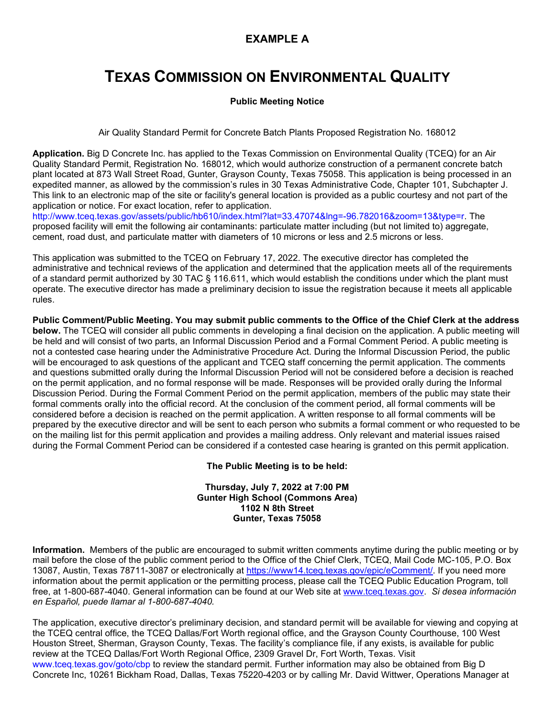## **EXAMPLE A**

## **TEXAS COMMISSION ON ENVIRONMENTAL QUALITY**

## **Public Meeting Notice**

Air Quality Standard Permit for Concrete Batch Plants Proposed Registration No. 168012

**Application.** Big D Concrete Inc. has applied to the Texas Commission on Environmental Quality (TCEQ) for an Air Quality Standard Permit, Registration No. 168012, which would authorize construction of a permanent concrete batch plant located at 873 Wall Street Road, Gunter, Grayson County, Texas 75058. This application is being processed in an expedited manner, as allowed by the commission's rules in 30 Texas Administrative Code, Chapter 101, Subchapter J. This link to an electronic map of the site or facility's general location is provided as a public courtesy and not part of the application or notice. For exact location, refer to application.

[http://www.tceq.texas.gov/assets/public/hb610/index.html?lat=33.47074&lng=-96.782016&zoom=13&type=r.](http://www.tceq.texas.gov/assets/public/hb610/index.html?lat=33.47074&lng=-96.782016&zoom=13&type=r) The proposed facility will emit the following air contaminants: particulate matter including (but not limited to) aggregate, cement, road dust, and particulate matter with diameters of 10 microns or less and 2.5 microns or less.

This application was submitted to the TCEQ on February 17, 2022. The executive director has completed the administrative and technical reviews of the application and determined that the application meets all of the requirements of a standard permit authorized by 30 TAC § 116.611, which would establish the conditions under which the plant must operate. The executive director has made a preliminary decision to issue the registration because it meets all applicable rules.

**Public Comment/Public Meeting. You may submit public comments to the Office of the Chief Clerk at the address below.** The TCEQ will consider all public comments in developing a final decision on the application. A public meeting will be held and will consist of two parts, an Informal Discussion Period and a Formal Comment Period. A public meeting is not a contested case hearing under the Administrative Procedure Act. During the Informal Discussion Period, the public will be encouraged to ask questions of the applicant and TCEQ staff concerning the permit application. The comments and questions submitted orally during the Informal Discussion Period will not be considered before a decision is reached on the permit application, and no formal response will be made. Responses will be provided orally during the Informal Discussion Period. During the Formal Comment Period on the permit application, members of the public may state their formal comments orally into the official record. At the conclusion of the comment period, all formal comments will be considered before a decision is reached on the permit application. A written response to all formal comments will be prepared by the executive director and will be sent to each person who submits a formal comment or who requested to be on the mailing list for this permit application and provides a mailing address. Only relevant and material issues raised during the Formal Comment Period can be considered if a contested case hearing is granted on this permit application.

**The Public Meeting is to be held:**

**Thursday, July 7, 2022 at 7:00 PM Gunter High School (Commons Area) 1102 N 8th Street Gunter, Texas 75058**

**Information.** Members of the public are encouraged to submit written comments anytime during the public meeting or by mail before the close of the public comment period to the Office of the Chief Clerk, TCEQ, Mail Code MC-105, P.O. Box 13087, Austin, Texas 78711-3087 or electronically at [https://www14.tceq.texas.gov/epic/eComment/.](https://www14.tceq.texas.gov/epic/eComment/) If you need more information about the permit application or the permitting process, please call the TCEQ Public Education Program, toll free, at 1-800-687-4040. General information can be found at our Web site at [www.tceq.texas.gov.](http://www.tceq.texas.gov/) *Si desea información en Español, puede llamar al 1-800-687-4040.*

The application, executive director's preliminary decision, and standard permit will be available for viewing and copying at the TCEQ central office, the TCEQ Dallas/Fort Worth regional office, and the Grayson County Courthouse, 100 West Houston Street, Sherman, Grayson County, Texas. The facility's compliance file, if any exists, is available for public review at the TCEQ Dallas/Fort Worth Regional Office, 2309 Gravel Dr, Fort Worth, Texas. Visit [www.tceq.texas.gov/goto/cbp](https://www.tceq.texas.gov/goto/cbp) to review the standard permit. Further information may also be obtained from Big D Concrete Inc, 10261 Bickham Road, Dallas, Texas 75220-4203 or by calling Mr. David Wittwer, Operations Manager at